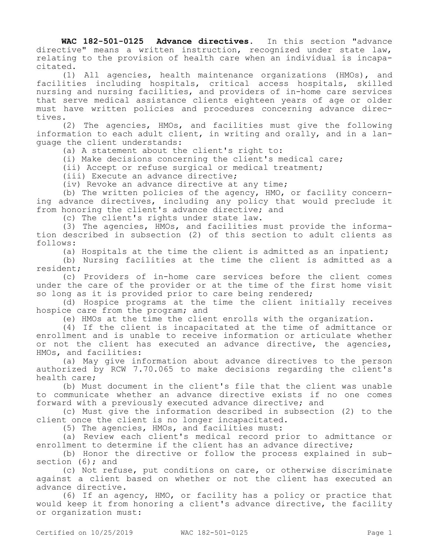**WAC 182-501-0125 Advance directives.** In this section "advance directive" means a written instruction, recognized under state law, relating to the provision of health care when an individual is incapacitated.

(1) All agencies, health maintenance organizations (HMOs), and facilities including hospitals, critical access hospitals, skilled nursing and nursing facilities, and providers of in-home care services that serve medical assistance clients eighteen years of age or older must have written policies and procedures concerning advance directives.

(2) The agencies, HMOs, and facilities must give the following information to each adult client, in writing and orally, and in a language the client understands:

(a) A statement about the client's right to:

(i) Make decisions concerning the client's medical care;

(ii) Accept or refuse surgical or medical treatment;

(iii) Execute an advance directive;

(iv) Revoke an advance directive at any time;

(b) The written policies of the agency, HMO, or facility concerning advance directives, including any policy that would preclude it from honoring the client's advance directive; and

(c) The client's rights under state law.

(3) The agencies, HMOs, and facilities must provide the information described in subsection (2) of this section to adult clients as follows:

(a) Hospitals at the time the client is admitted as an inpatient;

(b) Nursing facilities at the time the client is admitted as a resident;

(c) Providers of in-home care services before the client comes under the care of the provider or at the time of the first home visit so long as it is provided prior to care being rendered;

(d) Hospice programs at the time the client initially receives hospice care from the program; and

(e) HMOs at the time the client enrolls with the organization.

(4) If the client is incapacitated at the time of admittance or enrollment and is unable to receive information or articulate whether or not the client has executed an advance directive, the agencies, HMOs, and facilities:

(a) May give information about advance directives to the person authorized by RCW 7.70.065 to make decisions regarding the client's health care;

(b) Must document in the client's file that the client was unable to communicate whether an advance directive exists if no one comes forward with a previously executed advance directive; and

(c) Must give the information described in subsection (2) to the client once the client is no longer incapacitated.

(5) The agencies, HMOs, and facilities must:

(a) Review each client's medical record prior to admittance or enrollment to determine if the client has an advance directive;

(b) Honor the directive or follow the process explained in subsection  $(6)$ ; and

(c) Not refuse, put conditions on care, or otherwise discriminate against a client based on whether or not the client has executed an advance directive.

(6) If an agency, HMO, or facility has a policy or practice that would keep it from honoring a client's advance directive, the facility or organization must: